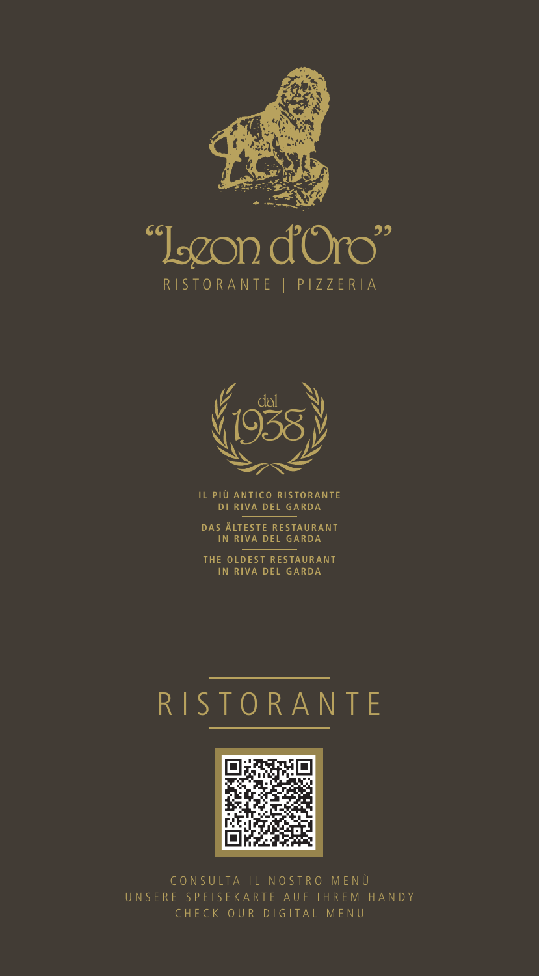

# Oro"  $cc$ RISTORANTE | PIZZERIA



IL PIÙ ANTICO RISTORANTE DI RIVA DEL GARDA

DAS ÄLTESTE RESTAURANT IN RIVA DEL GARDA

THE OLDEST RESTAURANT IN RIVA DEL GARDA

# RISTORANTE



CONSULTA IL NOSTRO MENÙ UNSERE SPEISEKARTE AUF IHREM HANDY CHECK OUR DIGITAL MENU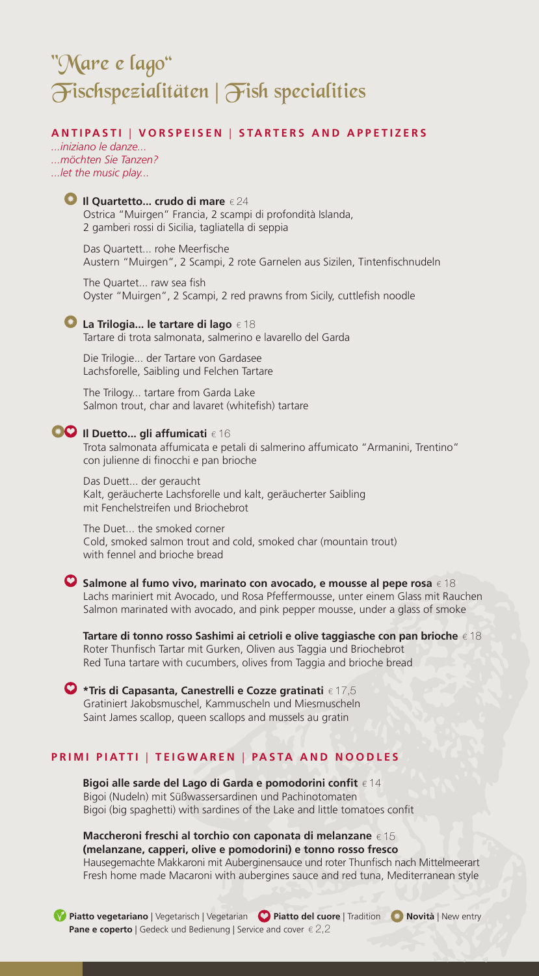# "Mare e lago" Fischspezialitäten | Fish specialities

# **ANTIPASTI** | **VORSPEISEN** | **STARTERS AND APPETIZERS**

*...iniziano le danze... ...möchten Sie Tanzen? ...let the music play...*



Das Quartett... rohe Meerfische Austern "Muirgen", 2 Scampi, 2 rote Garnelen aus Sizilen, Tintenfischnudeln

The Quartet... raw sea fish Oyster "Muirgen", 2 Scampi, 2 red prawns from Sicily, cuttlefish noodle

**■ La Trilogia... le tartare di lago** € 18 Tartare di trota salmonata, salmerino e lavarello del Garda

Die Trilogie... der Tartare von Gardasee Lachsforelle, Saibling und Felchen Tartare

The Trilogy... tartare from Garda Lake Salmon trout, char and lavaret (whitefish) tartare

# **Il Duetto... gli affumicati**  $\epsilon$  16

Trota salmonata affumicata e petali di salmerino affumicato "Armanini, Trentino" con julienne di finocchi e pan brioche

Das Duett... der geraucht Kalt, geräucherte Lachsforelle und kalt, geräucherter Saibling mit Fenchelstreifen und Briochebrot

The Duet... the smoked corner Cold, smoked salmon trout and cold, smoked char (mountain trout) with fennel and brioche bread

**Salmone al fumo vivo, marinato con avocado, e mousse al pepe rosa** € 18 Lachs mariniert mit Avocado, und Rosa Pfeffermousse, unter einem Glass mit Rauchen Salmon marinated with avocado, and pink pepper mousse, under a glass of smoke

 **Tartare di tonno rosso Sashimi ai cetrioli e olive taggiasche con pan brioche** € 18 Roter Thunfisch Tartar mit Gurken, Oliven aus Taggia und Briochebrot Red Tuna tartare with cucumbers, olives from Taggia and brioche bread

**\*Tris di Capasanta, Canestrelli e Cozze gratinati** € 17,5 Gratiniert Jakobsmuschel, Kammuscheln und Miesmuscheln Saint James scallop, queen scallops and mussels au gratin

# **PRIMI PIATTI** | **TEIGWAREN** | **PASTA AND NOODLES**

 **Bigoi alle sarde del Lago di Garda e pomodorini confit** € 14 Bigoi (Nudeln) mit Süßwassersardinen und Pachinotomaten Bigoi (big spaghetti) with sardines of the Lake and little tomatoes confit

 **Maccheroni freschi al torchio con caponata di melanzane** € 15  **(melanzane, capperi, olive e pomodorini) e tonno rosso fresco** Hausegemachte Makkaroni mit Auberginensauce und roter Thunfisch nach Mittelmeerart Fresh home made Macaroni with aubergines sauce and red tuna, Mediterranean style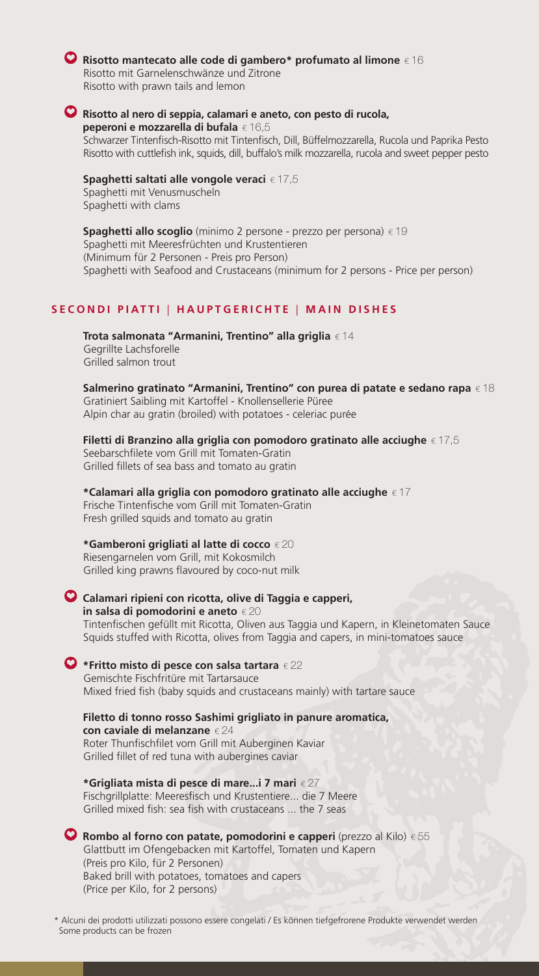# **Risotto mantecato alle code di gambero\* profumato al limone** € 16

Risotto mit Garnelenschwänze und Zitrone Risotto with prawn tails and lemon

# **Risotto al nero di seppia, calamari e aneto, con pesto di rucola,**

 **peperoni e mozzarella di bufala** € 16,5 Schwarzer Tintenfisch-Risotto mit Tintenfisch, Dill, Büffelmozzarella, Rucola und Paprika Pesto Risotto with cuttlefish ink, squids, dill, buffalo's milk mozzarella, rucola and sweet pepper pesto

## **Spaghetti saltati alle vongole veraci** € 17,5

Spaghetti mit Venusmuscheln Spaghetti with clams

**Spaghetti allo scoglio** (minimo 2 persone - prezzo per persona) € 19 Spaghetti mit Meeresfrüchten und Krustentieren (Minimum für 2 Personen - Preis pro Person) Spaghetti with Seafood and Crustaceans (minimum for 2 persons - Price per person)

# **SECONDI PIATTI** | **HAUPTGERICHTE** | **MAIN DISHES**

 **Trota salmonata "Armanini, Trentino" alla griglia** € 14 Gegrillte Lachsforelle Grilled salmon trout

 **Salmerino gratinato "Armanini, Trentino" con purea di patate e sedano rapa** € 18 Gratiniert Saibling mit Kartoffel - Knollensellerie Püree Alpin char au gratin (broiled) with potatoes - celeriac purée

## **Filetti di Branzino alla griglia con pomodoro gratinato alle acciughe** € 17,5 Seebarschfilete vom Grill mit Tomaten-Gratin Grilled fillets of sea bass and tomato au gratin

 **\*Calamari alla griglia con pomodoro gratinato alle acciughe** € 17 Frische Tintenfische vom Grill mit Tomaten-Gratin Fresh grilled squids and tomato au gratin

# **\*Gamberoni grigliati al latte di cocco** € 20

Riesengarnelen vom Grill, mit Kokosmilch Grilled king prawns flavoured by coco-nut milk

# **Calamari ripieni con ricotta, olive di Taggia e capperi,**

 **in salsa di pomodorini e aneto** € 20

Tintenfischen gefüllt mit Ricotta, Oliven aus Taggia und Kapern, in Kleinetomaten Sauce Squids stuffed with Ricotta, olives from Taggia and capers, in mini-tomatoes sauce

# **\*Fritto misto di pesce con salsa tartara** € 22

Gemischte Fischfritüre mit Tartarsauce Mixed fried fish (baby squids and crustaceans mainly) with tartare sauce

 **Filetto di tonno rosso Sashimi grigliato in panure aromatica, con caviale di melanzane** € 24 Roter Thunfischfilet vom Grill mit Auberginen Kaviar Grilled fillet of red tuna with aubergines caviar

 **\*Grigliata mista di pesce di mare...i 7 mari** € 27 Fischgrillplatte: Meeresfisch und Krustentiere... die 7 Meere Grilled mixed fish: sea fish with crustaceans ... the 7 seas

**Rombo al forno con patate, pomodorini e capperi** (prezzo al Kilo) € 55 Glattbutt im Ofengebacken mit Kartoffel, Tomaten und Kapern (Preis pro Kilo, für 2 Personen) Baked brill with potatoes, tomatoes and capers (Price per Kilo, for 2 persons)

 \* Alcuni dei prodotti utilizzati possono essere congelati / Es können tiefgefrorene Produkte verwendet werden Some products can be frozen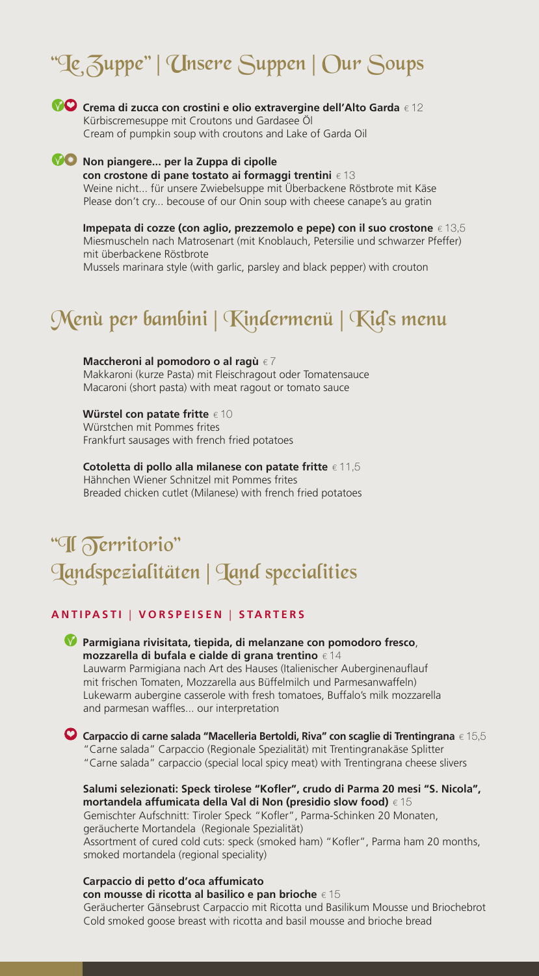# "Le Zuppe" | Unsere Suppen | Our Soups



**Coma di zucca con crostini e olio extravergine dell'Alto Garda** € 12 Kürbiscremesuppe mit Croutons und Gardasee Öl Cream of pumpkin soup with croutons and Lake of Garda Oil

## **10 Non piangere... per la Zuppa di cipolle con crostone di pane tostato ai formaggi trentini** € 13 Weine nicht... für unsere Zwiebelsuppe mit Überbackene Röstbrote mit Käse Please don't cry... becouse of our Onin soup with cheese canape's au gratin

 **Impepata di cozze (con aglio, prezzemolo e pepe) con il suo crostone** € 13,5 Miesmuscheln nach Matrosenart (mit Knoblauch, Petersilie und schwarzer Pfeffer) mit überbackene Röstbrote Mussels marinara style (with garlic, parsley and black pepper) with crouton

# Menù per bambini | Kindermenü | Kid's menu

 **Maccheroni al pomodoro o al ragù** € 7 Makkaroni (kurze Pasta) mit Fleischragout oder Tomatensauce Macaroni (short pasta) with meat ragout or tomato sauce

 **Würstel con patate fritte** € 10

Würstchen mit Pommes frites Frankfurt sausages with french fried potatoes

 **Cotoletta di pollo alla milanese con patate fritte** € 11,5 Hähnchen Wiener Schnitzel mit Pommes frites Breaded chicken cutlet (Milanese) with french fried potatoes

# "Il Territorio" Landspezialitäten | Land specialities

# **ANTIPASTI** | **VORSPEISEN** | **STARTERS**

**Parmigiana rivisitata, tiepida, di melanzane con pomodoro fresco**,  **mozzarella di bufala e cialde di grana trentino** € 14 Lauwarm Parmigiana nach Art des Hauses (Italienischer Auberginenauflauf mit frischen Tomaten, Mozzarella aus Büffelmilch und Parmesanwaffeln) Lukewarm aubergine casserole with fresh tomatoes, Buffalo's milk mozzarella and parmesan waffles... our interpretation

**Carpaccio di carne salada "Macelleria Bertoldi, Riva" con scaglie di Trentingrana** € 15,5 "Carne salada" Carpaccio (Regionale Spezialität) mit Trentingranakäse Splitter "Carne salada" carpaccio (special local spicy meat) with Trentingrana cheese slivers

 **Salumi selezionati: Speck tirolese "Kofler", crudo di Parma 20 mesi "S. Nicola", mortandela affumicata della Val di Non (presidio slow food)** € 15 Gemischter Aufschnitt: Tiroler Speck "Kofler", Parma-Schinken 20 Monaten, geräucherte Mortandela (Regionale Spezialität) Assortment of cured cold cuts: speck (smoked ham) "Kofler", Parma ham 20 months, smoked mortandela (regional speciality)

## **Carpaccio di petto d'oca affumicato**

 **con mousse di ricotta al basilico e pan brioche** € 15 Geräucherter Gänsebrust Carpaccio mit Ricotta und Basilikum Mousse und Briochebrot Cold smoked goose breast with ricotta and basil mousse and brioche bread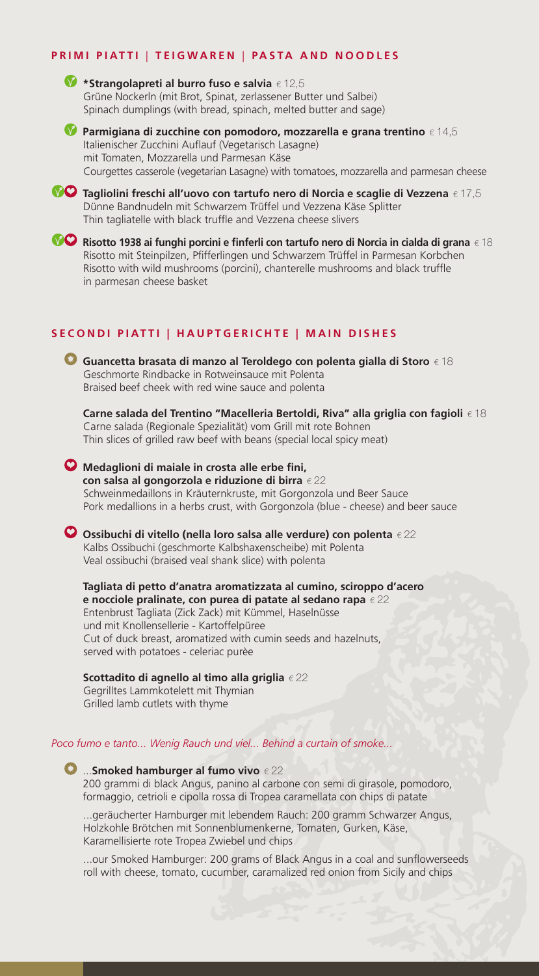## **PRIMI PIATTI** | **TEIGWAREN** | **PASTA AND NOODLES**

**\*Strangolapreti al burro fuso e salvia** € 12,5 Grüne Nockerln (mit Brot, Spinat, zerlassener Butter und Salbei) Spinach dumplings (with bread, spinach, melted butter and sage)



**Parmigiana di zucchine con pomodoro, mozzarella e grana trentino** € 14,5 Italienischer Zucchini Auflauf (Vegetarisch Lasagne) mit Tomaten, Mozzarella und Parmesan Käse Courgettes casserole (vegetarian Lasagne) with tomatoes, mozzarella and parmesan cheese



**Tagliolini freschi all'uovo con tartufo nero di Norcia e scaglie di Vezzena** € 17,5 Dünne Bandnudeln mit Schwarzem Trüffel und Vezzena Käse Splitter Thin tagliatelle with black truffle and Vezzena cheese slivers

**Risotto 1938 ai funghi porcini e finferli con tartufo nero di Norcia in cialda di grana** € 18 Risotto mit Steinpilzen, Pfifferlingen und Schwarzem Trüffel in Parmesan Korbchen Risotto with wild mushrooms (porcini), chanterelle mushrooms and black truffle in parmesan cheese basket

# **SECONDI PIATTI | HAUPTGERICHTE | MAIN DISHES**



Carne salada (Regionale Spezialität) vom Grill mit rote Bohnen Thin slices of grilled raw beef with beans (special local spicy meat)

**Medaglioni di maiale in crosta alle erbe fini, con salsa al gongorzola e riduzione di birra** € 22 Schweinmedaillons in Kräuternkruste, mit Gorgonzola und Beer Sauce Pork medallions in a herbs crust, with Gorgonzola (blue - cheese) and beer sauce

**Ossibuchi di vitello (nella loro salsa alle verdure) con polenta** € 22 Kalbs Ossibuchi (geschmorte Kalbshaxenscheibe) mit Polenta Veal ossibuchi (braised veal shank slice) with polenta

 **Tagliata di petto d'anatra aromatizzata al cumino, sciroppo d'acero e nocciole pralinate, con purea di patate al sedano rapa** € 22 Entenbrust Tagliata (Zick Zack) mit Kümmel, Haselnüsse und mit Knollensellerie - Kartoffelpüree Cut of duck breast, aromatized with cumin seeds and hazelnuts, served with potatoes - celeriac purèe

 **Scottadito di agnello al timo alla griglia** € 22 Gegrilltes Lammkotelett mit Thymian Grilled lamb cutlets with thyme

*Poco fumo e tanto... Wenig Rauch und viel... Behind a curtain of smoke...*

...**Smoked hamburger al fumo vivo** € 22 200 grammi di black Angus, panino al carbone con semi di girasole, pomodoro, formaggio, cetrioli e cipolla rossa di Tropea caramellata con chips di patate

...geräucherter Hamburger mit lebendem Rauch: 200 gramm Schwarzer Angus, Holzkohle Brötchen mit Sonnenblumenkerne, Tomaten, Gurken, Käse, Karamellisierte rote Tropea Zwiebel und chips

...our Smoked Hamburger: 200 grams of Black Angus in a coal and sunflowerseeds roll with cheese, tomato, cucumber, caramalized red onion from Sicily and chips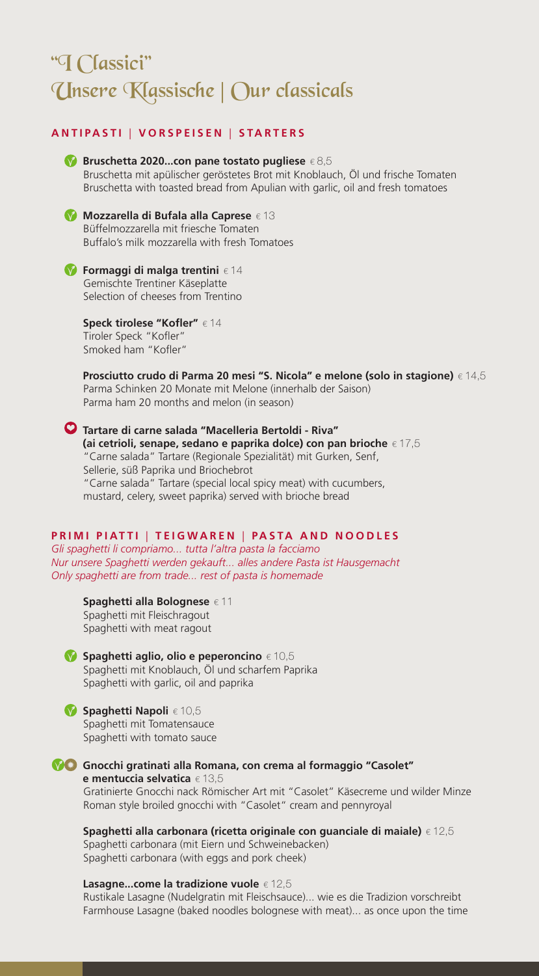# "I Classici" Unsere Klassische | Our classicals

# **ANTIPASTI** | **VORSPEISEN** | **STARTERS**



**Mozzarella di Bufala alla Caprese** € 13 Büffelmozzarella mit friesche Tomaten Buffalo's milk mozzarella with fresh Tomatoes

**Formaggi di malga trentini** € 14 Gemischte Trentiner Käseplatte Selection of cheeses from Trentino

> **Speck tirolese "Kofler"** € 14 Tiroler Speck "Kofler" Smoked ham "Kofler"

 **Prosciutto crudo di Parma 20 mesi "S. Nicola" e melone (solo in stagione)** € 14,5 Parma Schinken 20 Monate mit Melone (innerhalb der Saison) Parma ham 20 months and melon (in season)

**Tartare di carne salada "Macelleria Bertoldi - Riva" (ai cetrioli, senape, sedano e paprika dolce) con pan brioche** € 17,5 "Carne salada" Tartare (Regionale Spezialität) mit Gurken, Senf, Sellerie, süß Paprika und Briochebrot "Carne salada" Tartare (special local spicy meat) with cucumbers, mustard, celery, sweet paprika) served with brioche bread

# **PRIMI PIATTI** | **TEIGWAREN** | **PASTA AND NOODLES**

*Gli spaghetti li compriamo... tutta l'altra pasta la facciamo Nur unsere Spaghetti werden gekauft... alles andere Pasta ist Hausgemacht Only spaghetti are from trade... rest of pasta is homemade*

 **Spaghetti alla Bolognese** € 11 Spaghetti mit Fleischragout Spaghetti with meat ragout

**Spaghetti aglio, olio e peperoncino** € 10,5 Spaghetti mit Knoblauch, Öl und scharfem Paprika Spaghetti with garlic, oil and paprika

#### **Spaghetti Napoli** € 10,5 Spaghetti mit Tomatensauce

Spaghetti with tomato sauce

**Gnocchi gratinati alla Romana, con crema al formaggio "Casolet" e mentuccia selvatica** € 13,5 Gratinierte Gnocchi nack Römischer Art mit "Casolet" Käsecreme und wilder Minze Roman style broiled gnocchi with "Casolet" cream and pennyroyal

 **Spaghetti alla carbonara (ricetta originale con guanciale di maiale)** € 12,5 Spaghetti carbonara (mit Eiern und Schweinebacken) Spaghetti carbonara (with eggs and pork cheek)

 **Lasagne...come la tradizione vuole** € 12,5

Rustikale Lasagne (Nudelgratin mit Fleischsauce)... wie es die Tradizion vorschreibt Farmhouse Lasagne (baked noodles bolognese with meat)... as once upon the time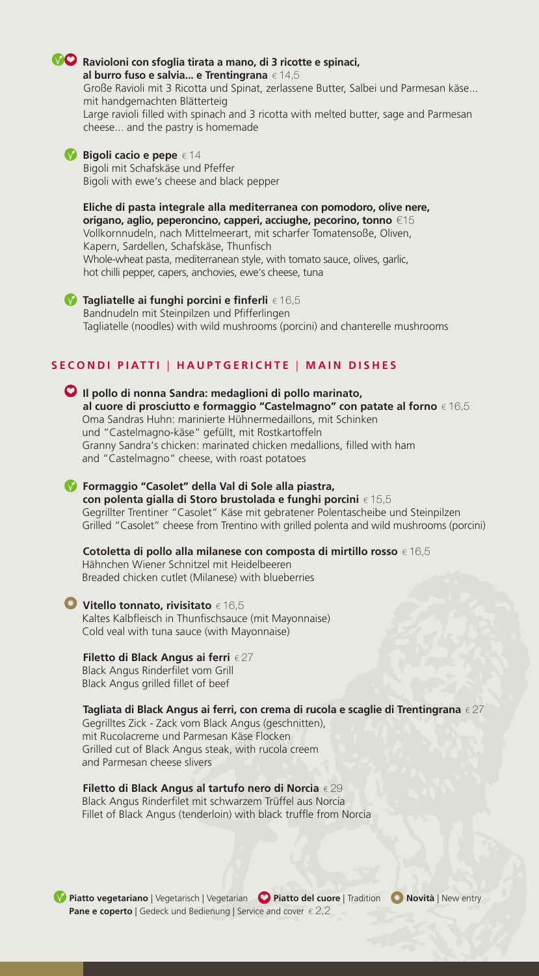# **Ravioloni con sfoglia tirata a mano, di 3 ricotte e spinaci,**

 **al burro fuso e salvia... e Trentingrana** € 14,5 Große Ravioli mit 3 Ricotta und Spinat, zerlassene Butter, Salbei und Parmesan käse... mit handgemachten Blätterteig Large ravioli filled with spinach and 3 ricotta with melted butter, sage and Parmesan cheese... and the pastry is homemade

# **■Bigoli cacio e pepe** € 14

Bigoli mit Schafskäse und Pfeffer Bigoli with ewe's cheese and black pepper

 **Eliche di pasta integrale alla mediterranea con pomodoro, olive nere, origano, aglio, peperoncino, capperi, acciughe, pecorino, tonno** €15 Vollkornnudeln, nach Mittelmeerart, mit scharfer Tomatensoße, Oliven, Kapern, Sardellen, Schafskäse, Thunfisch Whole-wheat pasta, mediterranean style, with tomato sauce, olives, garlic, hot chilli pepper, capers, anchovies, ewe's cheese, tuna

**◆ Tagliatelle ai funghi porcini e finferli** € 16,5 Bandnudeln mit Steinpilzen und Pfifferlingen Tagliatelle (noodles) with wild mushrooms (porcini) and chanterelle mushrooms

# **SECONDI PIATTI** | **HAUPTGERICHTE** | **MAIN DISHES**



Gegrillter Trentiner "Casolet" Käse mit gebratener Polentascheibe und Steinpilzen Grilled "Casolet" cheese from Trentino with grilled polenta and wild mushrooms (porcini)

 **Cotoletta di pollo alla milanese con composta di mirtillo rosso** € 16,5 Hähnchen Wiener Schnitzel mit Heidelbeeren Breaded chicken cutlet (Milanese) with blueberries

# **Vitello tonnato, rivisitato** € 16,5

Kaltes Kalbfleisch in Thunfischsauce (mit Mayonnaise) Cold veal with tuna sauce (with Mayonnaise)

# **Filetto di Black Angus ai ferri** € 27

Black Angus Rinderfilet vom Grill Black Angus grilled fillet of beef

# **Tagliata di Black Angus ai ferri, con crema di rucola e scaglie di Trentingrana** € 27

Gegrilltes Zick - Zack vom Black Angus (geschnitten), mit Rucolacreme und Parmesan Käse Flocken Grilled cut of Black Angus steak, with rucola creem and Parmesan cheese slivers

 **Filetto di Black Angus al tartufo nero di Norcia** € 29 Black Angus Rinderfilet mit schwarzem Trüffel aus Norcia Fillet of Black Angus (tenderloin) with black truffle from Norcia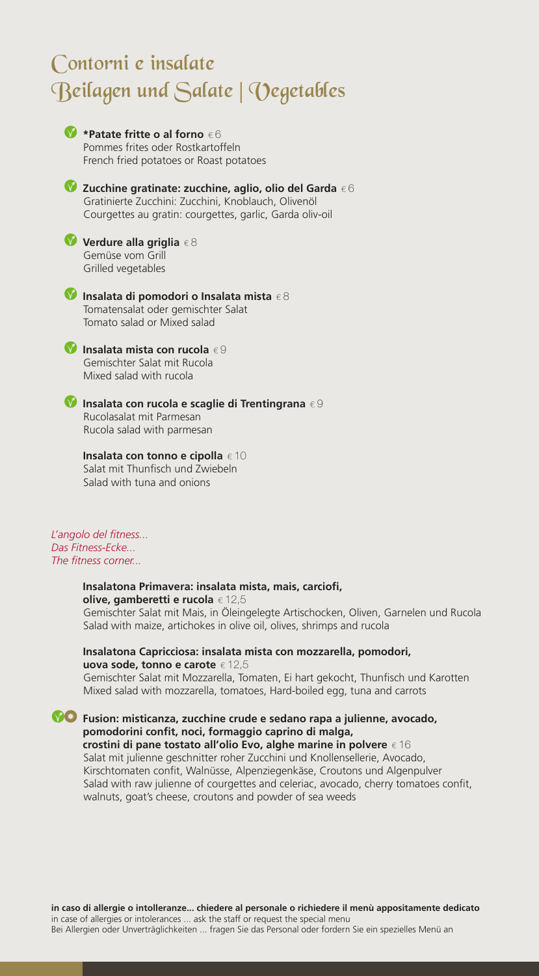# Contorni e insalate Beilagen und Salate | Vegetables



**Insalata mista con rucola** € 9 Gemischter Salat mit Rucola Mixed salad with rucola

**Insalata con rucola e scaglie di Trentingrana** € 9 Rucolasalat mit Parmesan Rucola salad with parmesan

 **Insalata con tonno e cipolla** € 10 Salat mit Thunfisch und Zwiebeln Salad with tuna and onions

*L'angolo del fitness... Das Fitness-Ecke... The fitness corner...*

## **Insalatona Primavera: insalata mista, mais, carciofi, olive, gamberetti e rucola** € 12,5

Gemischter Salat mit Mais, in Öleingelegte Artischocken, Oliven, Garnelen und Rucola Salad with maize, artichokes in olive oil, olives, shrimps and rucola

## **Insalatona Capricciosa: insalata mista con mozzarella, pomodori, uova sode, tonno e carote** € 12,5

Gemischter Salat mit Mozzarella, Tomaten, Ei hart gekocht, Thunfisch und Karotten Mixed salad with mozzarella, tomatoes, Hard-boiled egg, tuna and carrots

**Fusion: misticanza, zucchine crude e sedano rapa a julienne, avocado, pomodorini confit, noci, formaggio caprino di malga, crostini di pane tostato all'olio Evo, alghe marine in polvere** € 16 Salat mit julienne geschnitter roher Zucchini und Knollensellerie, Avocado, Kirschtomaten confit, Walnüsse, Alpenziegenkäse, Croutons und Algenpulver Salad with raw julienne of courgettes and celeriac, avocado, cherry tomatoes confit, walnuts, goat's cheese, croutons and powder of sea weeds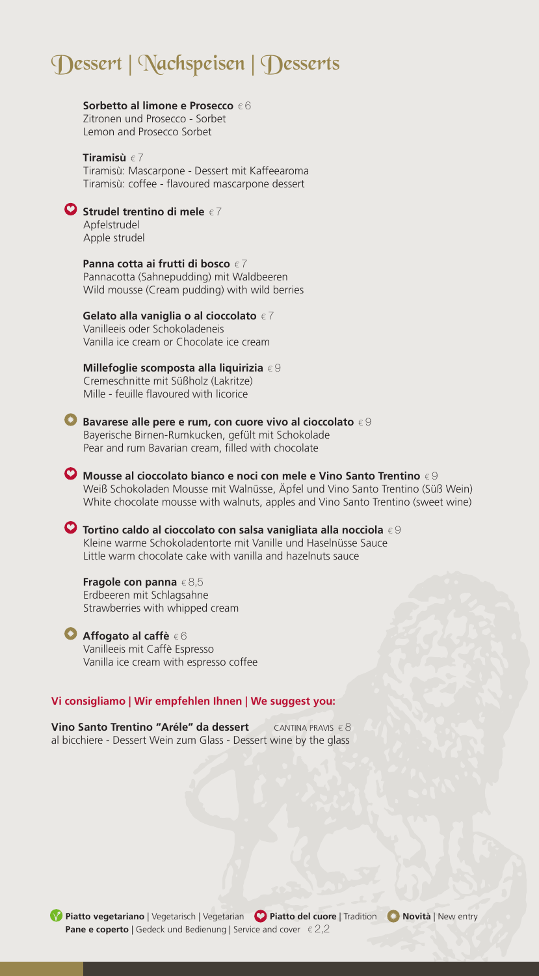# Dessert | Nachspeisen | Desserts

## **Sorbetto al limone e Prosecco** € 6

Zitronen und Prosecco - Sorbet Lemon and Prosecco Sorbet

#### **Tiramisù** € 7 Tiramisù: Mascarpone - Dessert mit Kaffeearoma Tiramisù: coffee - flavoured mascarpone dessert



# **Strudel trentino di mele** € 7

Apfelstrudel Apple strudel

 **Panna cotta ai frutti di bosco** € 7 Pannacotta (Sahnepudding) mit Waldbeeren Wild mousse (Cream pudding) with wild berries

# **Gelato alla vaniglia o al cioccolato** € 7

Vanilleeis oder Schokoladeneis Vanilla ice cream or Chocolate ice cream

 **Millefoglie scomposta alla liquirizia** € 9 Cremeschnitte mit Süßholz (Lakritze) Mille - feuille flavoured with licorice



**Bavarese alle pere e rum, con cuore vivo al cioccolato** € 9 Bayerische Birnen-Rumkucken, gefült mit Schokolade Pear and rum Bavarian cream, filled with chocolate

**Mousse al cioccolato bianco e noci con mele e Vino Santo Trentino** € 9 Weiß Schokoladen Mousse mit Walnüsse, Äpfel und Vino Santo Trentino (Süß Wein) White chocolate mousse with walnuts, apples and Vino Santo Trentino (sweet wine)

**Tortino caldo al cioccolato con salsa vanigliata alla nocciola** € 9 Kleine warme Schokoladentorte mit Vanille und Haselnüsse Sauce Little warm chocolate cake with vanilla and hazelnuts sauce

 **Fragole con panna** € 8,5 Erdbeeren mit Schlagsahne Strawberries with whipped cream

## **Affogato al caffè** € 6

Vanilleeis mit Caffè Espresso Vanilla ice cream with espresso coffee

# **Vi consigliamo | Wir empfehlen Ihnen | We suggest you:**

**Vino Santo Trentino "Aréle" da dessert** CANTINA PRAVIS € 8 al bicchiere - Dessert Wein zum Glass - Dessert wine by the glass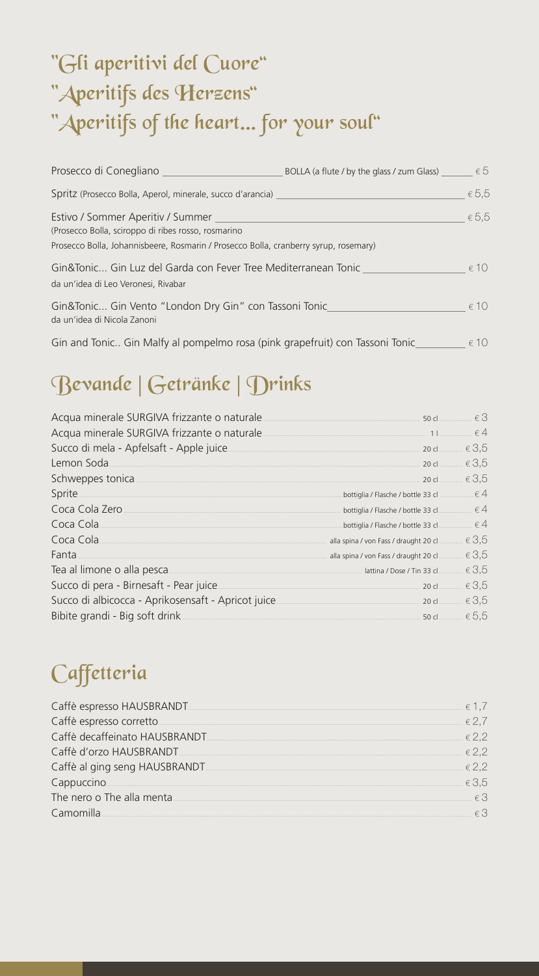# "Gli aperitivi del Cuore" "Aperitifs des Herzens" "Aperitifs of the heart... for your soul"

| Prosecco di Conegliano                                                                                                                                                           | BOLLA (a flute / by the glass / zum Glass) | $\epsilon$ 5   |
|----------------------------------------------------------------------------------------------------------------------------------------------------------------------------------|--------------------------------------------|----------------|
| Spritz (Prosecco Bolla, Aperol, minerale, succo d'arancia)                                                                                                                       |                                            | $\epsilon$ 5,5 |
| Estivo / Sommer Aperitiv / Summer<br>(Prosecco Bolla, sciroppo di ribes rosso, rosmarino<br>Prosecco Bolla, Johannisbeere, Rosmarin / Prosecco Bolla, cranberry syrup, rosemary) |                                            | $\epsilon$ 5,5 |
| Gin&Tonic Gin Luz del Garda con Fever Tree Mediterranean Tonic<br>da un'idea di Leo Veronesi, Rivabar                                                                            |                                            | $\epsilon$ 10  |
| Gin&Tonic Gin Vento "London Dry Gin" con Tassoni Tonic<br>da un'idea di Nicola Zanoni                                                                                            |                                            | $\epsilon$ 10  |
| Gin and Tonic Gin Malfy al pompelmo rosa (pink grapefruit) con Tassoni Tonic                                                                                                     |                                            | $\epsilon$ 10  |

# Bevande | Getränke | Drinks

| Acqua minerale SURGIVA frizzante o naturale.                                           |                                                     | $\in$ 3        |
|----------------------------------------------------------------------------------------|-----------------------------------------------------|----------------|
| Acqua minerale SURGIVA frizzante o naturale <u>Communicano anno 11</u> anno 11 anno 64 |                                                     |                |
| Succo di mela - Apfelsaft - Apple juice                                                |                                                     | $\in 3,5$      |
| Lemon Soda<br>. 20 cl $\epsilon$ 3,5                                                   |                                                     |                |
| Schweppes tonica                                                                       | 20 cl                                               | $\in 3,5$      |
| Sprite                                                                                 | bottiglia / Flasche / bottle 33 cl $\ldots$ $\in$ 4 |                |
| Coca Cola Zero                                                                         | bottiglia / Flasche / bottle 33 cl                  | $\epsilon$ 4   |
| Coca Cola                                                                              | bottiglia / Flasche / bottle 33 cl                  | $\epsilon$ 4   |
| Coca Cola                                                                              | alla spina / von Fass / draught 20 cl               | $\in 3,5$      |
| Fanta                                                                                  | alla spina / von Fass / draught 20 cl               | $\in 3,5$      |
| Tea al limone o alla pesca                                                             |                                                     | $\in 3,5$      |
| Succo di pera - Birnesaft - Pear juice                                                 | 20 cl                                               | $\in 3,5$      |
|                                                                                        |                                                     | $\epsilon$ 3,5 |
|                                                                                        |                                                     | 50 d $65.5$    |

# Caffetteria

| Caffè espresso HAUSBRANDT                                       |           |
|-----------------------------------------------------------------|-----------|
| Caffè espresso corretto                                         |           |
| Caffè decaffeinato HAUSBRANDT Caffè decaration and the USBRANDT | $\in$ 2,2 |
| Caffè d'orzo HAUSBRANDT                                         | $\in$ 2,2 |
| Caffè al ging seng HAUSBRANDT                                   | $\in$ 2,2 |
| Cappuccino                                                      | 3,5       |
| The nero o The alla menta.                                      |           |
| Camomilla                                                       |           |
|                                                                 |           |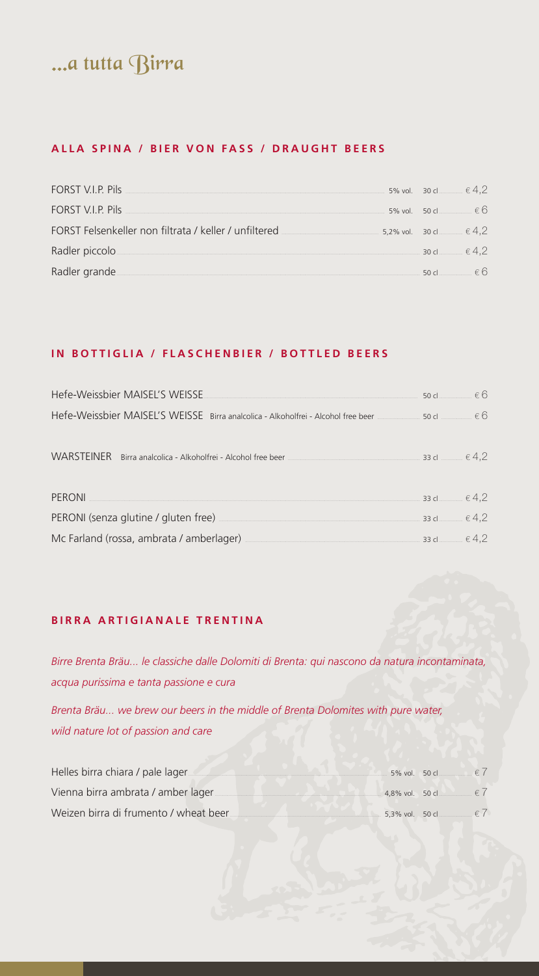# ...a tutta Birra

# ALLA SPINA / BIER VON FASS / DRAUGHT BEERS

| FORST V.I.P. Pils                                     | 5% vol. 30 cl ∴ € 4,2      |  |
|-------------------------------------------------------|----------------------------|--|
| <b>FORST V.I.P. Pils</b>                              | 5% vol. 50 cl $66$         |  |
| FORST Felsenkeller non filtrata / keller / unfiltered | 5,2% vol. 30 cl $\leq 4,2$ |  |
| Radler piccolo.                                       | 30 cl $\in$ 4.2            |  |
| Radler grande                                         |                            |  |

## IN BOTTIGLIA / FLASCHENBIER / BOTTLED BEERS

| Hefe-Weissbier MAISEL'S WEISSE                                                                                                                                                                                                                                                        | 50 cl $\in$ 6 |  |
|---------------------------------------------------------------------------------------------------------------------------------------------------------------------------------------------------------------------------------------------------------------------------------------|---------------|--|
| Hefe-Weissbier MAISEL'S WEISSE Birra analcolica - Alkoholfrei - Alcohol free beer _____________________ € 6                                                                                                                                                                           |               |  |
| WARSTEINER Birra analcolica - Alkoholfrei - Alcohol free beer $\frac{1}{2}$ = $\frac{1}{2}$ = $\frac{1}{2}$ = $\frac{1}{2}$ = $\frac{1}{2}$ = $\frac{1}{2}$ = $\frac{1}{2}$ = $\frac{1}{2}$ = $\frac{1}{2}$ = $\frac{1}{2}$ = $\frac{1}{2}$ = $\frac{1}{2}$ = $\frac{1}{2}$ = $\frac$ |               |  |
| <b>PERONI</b> 33 d $\in$ 4,2                                                                                                                                                                                                                                                          |               |  |
| PERONI (senza glutine / gluten free) $\overline{a}$ = 33 d $\overline{a}$ = 33 d $\overline{a}$ = 4,2                                                                                                                                                                                 |               |  |
| Mc Farland (rossa, ambrata / amberlager) $\frac{1}{2}$ (1,2)                                                                                                                                                                                                                          |               |  |

## BIRRA ARTIGIANALE TRENTINA

Birre Brenta Bräu... le classiche dalle Dolomiti di Brenta: qui nascono da natura incontaminata, acqua purissima e tanta passione e cura

Brenta Bräu... we brew our beers in the middle of Brenta Dolomites with pure water, wild nature lot of passion and care

| Helles birra chiara / pale lager      | 5% vol. 50 cl $€$ (               |  |
|---------------------------------------|-----------------------------------|--|
| Vienna birra ambrata / amber lager    | 4.8% vol. 50 cl $\epsilon$ (      |  |
| Weizen birra di frumento / wheat beer | 5.3% vol. 50 c $\blacksquare$ € ( |  |